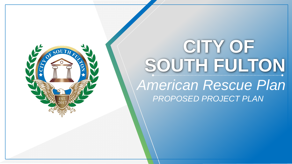

# **CITY OF** *American Rescue Plan*  **SOUTH FULTON** *PROPOSED PROJECT PLAN*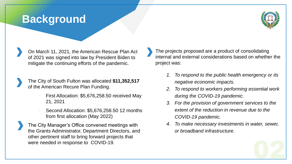## **Background**



On March 11, 2021, the American Rescue Plan Act of 2021 was signed into law by President Biden to mitigate the continuing efforts of the pandemic.

The City of South Fulton was allocated **\$11,352,517**  of the American Recure Plan Funding.

- First Allocation: \$5,676,258.50 received May 21, 2021
- Second Allocation: \$5,676,258.50 12 months from first allocation (May 2022)

The City Manager's Office convened meetings with the Grants Administrator, Department Directors, and other pertinent staff to bring forward projects that were needed in response to COVID-19*.*

The projects proposed are a product of consolidating internal and external considerations based on whether the project was:

- *1. To respond to the public health emergency or its negative economic impacts.*
- *2. To respond to workers performing essential work during the COVID-19 pandemic.*
- *3. For the provision of government services to the extent of the reduction in revenue due to the COVID-19 pandemic.*
- *4. To make necessary investments in water, sewer, or broadband infrastructure.*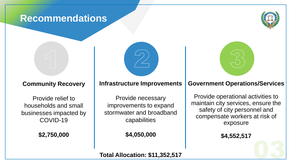#### Recommendations **Recommendations**





### **Community Recovery**

Provide relief to households and small businesses impacted by COVID-19

**\$2,750,000**

#### **Infrastructure Improvements**

Provide necessary improvements to expand stormwater and broadband capabilities

**\$4,050,000**

#### **Government Operations/Services**

Provide operational activities to maintain city services, ensure the safety of city personnel and compensate workers at risk of exposure

**\$4,552,517**

**Total Allocation: \$11,352,517**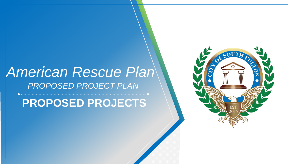# *American Rescue Plan PROPOSED PROJECT PLAN*

**PROPOSED PROJECTS**

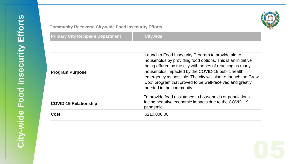

#### **Community Recovery: City-wide Food Insecurity Efforts**

| <b>Primary City Recipient Department</b> | <b>Citywide</b>                                                                                                                                                                                                                                                                                                                                                                            |
|------------------------------------------|--------------------------------------------------------------------------------------------------------------------------------------------------------------------------------------------------------------------------------------------------------------------------------------------------------------------------------------------------------------------------------------------|
| <b>Program Purpose</b>                   | Launch a Food Insecurity Program to provide aid to<br>households by providing food options. This is an initiative<br>being offered by the city with hopes of reaching as many<br>households impacted by the COVID-19 public health<br>emergency as possible. The city will also re-launch the Grow<br>Box" program that proved to be well-received and greatly<br>needed in the community. |
| <b>COVID-19 Relationship</b>             | To provide food assistance to households or populations<br>facing negative economic impacts due to the COVID-19<br>pandemic.                                                                                                                                                                                                                                                               |
| <b>Cost</b>                              | \$210,000.00                                                                                                                                                                                                                                                                                                                                                                               |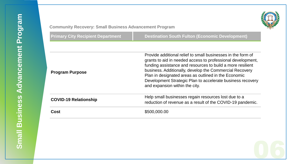

#### **Community Recovery: Small Business Advancement Program**

| Primary City Recipient Department」 |  |  |  |  |  |
|------------------------------------|--|--|--|--|--|
|------------------------------------|--|--|--|--|--|

| <b>Community Recovery: Small Business Advancement Program</b> |                                                                                                                                                                                                                                                                                                                                                                                                              |
|---------------------------------------------------------------|--------------------------------------------------------------------------------------------------------------------------------------------------------------------------------------------------------------------------------------------------------------------------------------------------------------------------------------------------------------------------------------------------------------|
| <b>Primary City Recipient Department</b>                      | <b>Destination South Fulton (Economic Development)</b>                                                                                                                                                                                                                                                                                                                                                       |
|                                                               |                                                                                                                                                                                                                                                                                                                                                                                                              |
| <b>Program Purpose</b>                                        | Provide additional relief to small businesses in the form of<br>grants to aid in needed access to professional development,<br>funding assistance and resources to build a more resilient<br>business. Additionally, develop the Commercial Recovery<br>Plan in designated areas as outlined in the Economic<br>Development Strategic Plan to accelerate business recovery<br>and expansion within the city. |
| <b>COVID-19 Relationship</b>                                  | Help small businesses regain resources lost due to a<br>reduction of revenue as a result of the COVID-19 pandemic.                                                                                                                                                                                                                                                                                           |
| <b>Cost</b>                                                   | \$500,000.00                                                                                                                                                                                                                                                                                                                                                                                                 |
|                                                               |                                                                                                                                                                                                                                                                                                                                                                                                              |

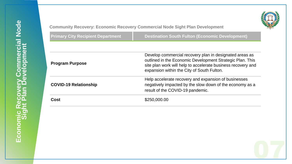

**Community Recovery: Economic Recovery Commercial Node Sight Plan Development**

nunit<sub>)</sub><br>ary Ci<br>D-19<br>D-19 **Primary City Recipient Department Destination South Fulton (Economic Development) Program Purpose** Develop commercial recovery plan in designated areas as outlined in the Economic Development Strategic Plan. This site plan work will help to accelerate business recovery and expansion within the City of South Fulton. **COVID-19 Relationship**  Help accelerate recovery and expansion of businesses negatively impacted by the slow down of the economy as a result of the COVID-19 pandemic. **Cost**  $$250,000.00$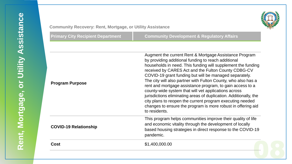

#### **Community Recovery: Rent, Mortgage, or Utility Assistance**

| Community Recovery: Rent, Mortgage, or Utility Assistance |                                                                                                                                                                                                                                                                                                                                                                                                                                                                                                                                                                                                                                                                                                         |
|-----------------------------------------------------------|---------------------------------------------------------------------------------------------------------------------------------------------------------------------------------------------------------------------------------------------------------------------------------------------------------------------------------------------------------------------------------------------------------------------------------------------------------------------------------------------------------------------------------------------------------------------------------------------------------------------------------------------------------------------------------------------------------|
| <b>Primary City Recipient Department</b>                  | <b>Community Development &amp; Regulatory Affairs</b>                                                                                                                                                                                                                                                                                                                                                                                                                                                                                                                                                                                                                                                   |
|                                                           |                                                                                                                                                                                                                                                                                                                                                                                                                                                                                                                                                                                                                                                                                                         |
| <b>Program Purpose</b>                                    | Augment the current Rent & Mortgage Assistance Program<br>by providing additional funding to reach additional<br>households in need. This funding will supplement the funding<br>received by CARES Act and the Fulton County CDBG-CV<br>COVID-19 grant funding but will be managed separately.<br>The city will also partner with Fulton County, who also has a<br>rent and mortgage assistance program, to gain access to a<br>county-wide system that will vet applications across<br>jurisdictions eliminating areas of duplication. Additionally, the<br>city plans to reopen the current program executing needed<br>changes to ensure the program is more robust in offering aid<br>to residents. |
| <b>COVID-19 Relationship</b>                              | This program helps communities improve their quality of life<br>and economic vitality through the development of locally<br>based housing strategies in direct response to the COVID-19<br>pandemic.                                                                                                                                                                                                                                                                                                                                                                                                                                                                                                    |
| <b>Cost</b>                                               | \$1,400,000.00                                                                                                                                                                                                                                                                                                                                                                                                                                                                                                                                                                                                                                                                                          |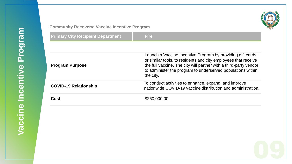

#### **Community Recovery: Vaccine Incentive Program**

| <b>Primary City Recipient Department</b> | <b>Fire</b>                                                                                                                                                                                                                                                                    |
|------------------------------------------|--------------------------------------------------------------------------------------------------------------------------------------------------------------------------------------------------------------------------------------------------------------------------------|
|                                          |                                                                                                                                                                                                                                                                                |
| <b>Program Purpose</b>                   | Launch a Vaccine Incentive Program by providing gift cards,<br>or similar tools, to residents and city employees that receive<br>the full vaccine. The city will partner with a third-party vendor<br>to administer the program to underserved populations within<br>the city. |
| <b>COVID-19 Relationship</b>             | To conduct activities to enhance, expand, and improve<br>nationwide COVID-19 vaccine distribution and administration.                                                                                                                                                          |
| Cost                                     | \$260,000.00                                                                                                                                                                                                                                                                   |
|                                          |                                                                                                                                                                                                                                                                                |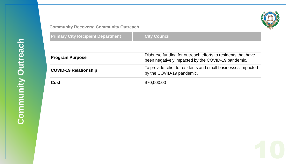

#### **Community Recovery: Community Outreach**

| <b>Community Recovery: Community Outreach</b> |                                                                                                                    |
|-----------------------------------------------|--------------------------------------------------------------------------------------------------------------------|
| <b>Primary City Recipient Department</b>      | <b>City Council</b>                                                                                                |
|                                               |                                                                                                                    |
| <b>Program Purpose</b>                        | Disburse funding for outreach efforts to residents that have<br>been negatively impacted by the COVID-19 pandemic. |
| <b>COVID-19 Relationship</b>                  | To provide relief to residents and small businesses impacted<br>by the COVID-19 pandemic.                          |
| <b>Cost</b>                                   | \$70,000.00                                                                                                        |
|                                               |                                                                                                                    |
|                                               |                                                                                                                    |
|                                               |                                                                                                                    |
|                                               |                                                                                                                    |
|                                               |                                                                                                                    |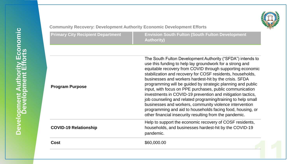

| <b>Primary City Recipient Department</b> | <b>Envision South Fulton (South Fulton Development)</b> |
|------------------------------------------|---------------------------------------------------------|
|                                          | <b>Authority)</b>                                       |

| <b>Community Recovery: Development Authority Economic Development Efforts</b> |                                                                                                                                                                                                                                                                                                                                                                                                                                                                                                                                                                                                                                                                                                                                                          |
|-------------------------------------------------------------------------------|----------------------------------------------------------------------------------------------------------------------------------------------------------------------------------------------------------------------------------------------------------------------------------------------------------------------------------------------------------------------------------------------------------------------------------------------------------------------------------------------------------------------------------------------------------------------------------------------------------------------------------------------------------------------------------------------------------------------------------------------------------|
| <b>Primary City Recipient Department</b>                                      | <b>Envision South Fulton (South Fulton Development</b><br><b>Authority)</b>                                                                                                                                                                                                                                                                                                                                                                                                                                                                                                                                                                                                                                                                              |
|                                                                               |                                                                                                                                                                                                                                                                                                                                                                                                                                                                                                                                                                                                                                                                                                                                                          |
| <b>Program Purpose</b>                                                        | The South Fulton Development Authority ("SFDA") intends to<br>use this funding to help lay groundwork for a strong and<br>equitable recovery from COVID through supporting economic<br>stabilization and recovery for COSF residents, households,<br>businesses and workers hardest-hit by the crisis. SFDA<br>programming will be guided by strategic planning and public<br>input, with focus on PPE purchases, public communication<br>investments in COVID-19 prevention and mitigation tactics,<br>job counseling and related programing/training to help small<br>businesses and workers, community violence intervention<br>programming and aid to households facing food, housing, or<br>other financial insecurity resulting from the pandemic. |
| <b>COVID-19 Relationship</b>                                                  | Help to support the economic recovery of COSF residents,<br>households, and businesses hardest-hit by the COVID-19<br>pandemic.                                                                                                                                                                                                                                                                                                                                                                                                                                                                                                                                                                                                                          |
| Cost                                                                          | \$60,000.00                                                                                                                                                                                                                                                                                                                                                                                                                                                                                                                                                                                                                                                                                                                                              |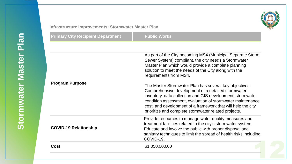

| Infrastructure Improvements: Stormwater Master Plan |                                                                                                                                                                                                                                                                                                                                                                  |
|-----------------------------------------------------|------------------------------------------------------------------------------------------------------------------------------------------------------------------------------------------------------------------------------------------------------------------------------------------------------------------------------------------------------------------|
| <b>Primary City Recipient Department</b>            | <b>Public Works</b>                                                                                                                                                                                                                                                                                                                                              |
|                                                     |                                                                                                                                                                                                                                                                                                                                                                  |
|                                                     | As part of the City becoming MS4 (Municipal Separate Storm<br>Sewer System) compliant, the city needs a Stormwater<br>Master Plan which would provide a complete planning<br>solution to meet the needs of the City along with the<br>requirements from MS4.                                                                                                     |
| <b>Program Purpose</b>                              | The Master Stormwater Plan has several key objectives:<br>Comprehensive development of a detailed stormwater<br>inventory, data collection and GIS development, stormwater<br>condition assessment, evaluation of stormwater maintenance<br>cost, and development of a framework that will help the city<br>prioritize and complete stormwater related projects. |
| <b>COVID-19 Relationship</b>                        | Provide resources to manage water quality measures and<br>treatment facilities related to the city's stormwater system.<br>Educate and involve the public with proper disposal and<br>sanitary techniques to limit the spread of health risks including<br>COVID-19.                                                                                             |
| <b>Cost</b>                                         | \$1,050,000.00                                                                                                                                                                                                                                                                                                                                                   |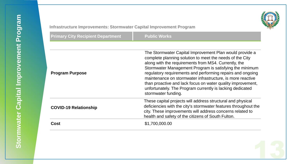

| Infrastructure Improvements: Stormwater Capital Improvement Program |                                                                                                                                                                                                                                                                                                                                                                                                                                                                                                                       |
|---------------------------------------------------------------------|-----------------------------------------------------------------------------------------------------------------------------------------------------------------------------------------------------------------------------------------------------------------------------------------------------------------------------------------------------------------------------------------------------------------------------------------------------------------------------------------------------------------------|
| <b>Primary City Recipient Department</b>                            | <b>Public Works</b>                                                                                                                                                                                                                                                                                                                                                                                                                                                                                                   |
|                                                                     |                                                                                                                                                                                                                                                                                                                                                                                                                                                                                                                       |
| <b>Program Purpose</b>                                              | The Stormwater Capital Improvement Plan would provide a<br>complete planning solution to meet the needs of the City<br>along with the requirements from MS4. Currently, the<br>Stormwater Management Program is satisfying the minimum<br>regulatory requirements and performing repairs and ongoing<br>maintenance on stormwater infrastructure, is more reactive<br>than proactive and lack focus on water quality improvement,<br>unfortunately. The Program currently is lacking dedicated<br>stormwater funding. |
| <b>COVID-19 Relationship</b>                                        | These capital projects will address structural and physical<br>deficiencies with the city's stormwater features throughout the<br>city. These improvements will address concerns related to<br>health and safety of the citizens of South Fulton.                                                                                                                                                                                                                                                                     |
| <b>Cost</b>                                                         | \$1,700,000.00                                                                                                                                                                                                                                                                                                                                                                                                                                                                                                        |
|                                                                     |                                                                                                                                                                                                                                                                                                                                                                                                                                                                                                                       |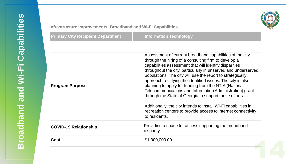

#### **Infrastructure Improvements: Broadband and Wi-Fi Capabilities**

| nfrastructure Improvements: Broadband and Wi-Fi Capabilities |                                                                                                                                                                                                                                                                                                                                                                                                                                                                                                                                                                                                                                                                                                              |
|--------------------------------------------------------------|--------------------------------------------------------------------------------------------------------------------------------------------------------------------------------------------------------------------------------------------------------------------------------------------------------------------------------------------------------------------------------------------------------------------------------------------------------------------------------------------------------------------------------------------------------------------------------------------------------------------------------------------------------------------------------------------------------------|
| <b>Primary City Recipient Department</b>                     | <b>Information Technology</b>                                                                                                                                                                                                                                                                                                                                                                                                                                                                                                                                                                                                                                                                                |
|                                                              |                                                                                                                                                                                                                                                                                                                                                                                                                                                                                                                                                                                                                                                                                                              |
| <b>Program Purpose</b>                                       | Assessment of current broadband capabilities of the city<br>through the hiring of a consulting firm to develop a<br>capabilities assessment that will identify disparities<br>throughout the city, particularly in unserved and underserved<br>populations. The city will use the report to strategically<br>approach rectifying the identified issues. The city is also<br>planning to apply for funding from the NTIA (National<br>Telecommunications and Information Administration) grant<br>through the State of Georgia to support these efforts.<br>Additionally, the city intends to install Wi-Fi capabilities in<br>recreation centers to provide access to internet connectivity<br>to residents. |
| <b>COVID-19 Relationship</b>                                 | Providing a space for access supporting the broadband<br>disparity.                                                                                                                                                                                                                                                                                                                                                                                                                                                                                                                                                                                                                                          |
| Cost                                                         | \$1,300,000.00                                                                                                                                                                                                                                                                                                                                                                                                                                                                                                                                                                                                                                                                                               |
|                                                              |                                                                                                                                                                                                                                                                                                                                                                                                                                                                                                                                                                                                                                                                                                              |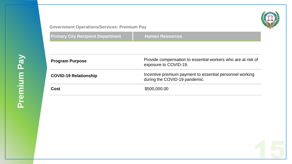

#### **Government Operations/Services: Premium Pay**

| <b>Program Purpose</b><br>exposure to COVID-19.<br><b>COVID-19 Relationship</b><br>during the COVID-19 pandemic. | <b>Government Operations/Services: Premium Pay</b><br><b>Primary City Recipient Department</b> | <b>Human Resources</b>                                       |
|------------------------------------------------------------------------------------------------------------------|------------------------------------------------------------------------------------------------|--------------------------------------------------------------|
|                                                                                                                  |                                                                                                |                                                              |
|                                                                                                                  |                                                                                                | Provide compensation to essential workers who are at risk of |
|                                                                                                                  |                                                                                                | Incentive premium payment to essential personnel working     |
|                                                                                                                  | <b>Cost</b>                                                                                    | \$500,000.00                                                 |
|                                                                                                                  |                                                                                                |                                                              |
|                                                                                                                  |                                                                                                |                                                              |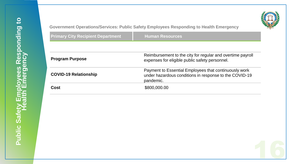

| <b>Program Purpose</b>       | Reimbursement to the city for regular and overtime payroll<br>expenses for eligible public safety personnel.                 |
|------------------------------|------------------------------------------------------------------------------------------------------------------------------|
| <b>COVID-19 Relationship</b> | Payment to Essential Employees that continuously work<br>under hazardous conditions in response to the COVID-19<br>pandemic. |
| <b>Cost</b>                  | \$800,000.00                                                                                                                 |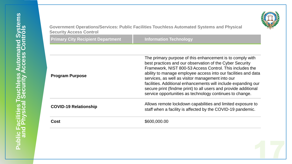

| <b>Security Access Control</b>           | Government Operations/Services: Public Facilities Touchless Automated Systems and Physical                                                                                                                                                                                                                                                                                                                                                                                                               |
|------------------------------------------|----------------------------------------------------------------------------------------------------------------------------------------------------------------------------------------------------------------------------------------------------------------------------------------------------------------------------------------------------------------------------------------------------------------------------------------------------------------------------------------------------------|
| <b>Primary City Recipient Department</b> | <b>Information Technology</b>                                                                                                                                                                                                                                                                                                                                                                                                                                                                            |
|                                          |                                                                                                                                                                                                                                                                                                                                                                                                                                                                                                          |
| <b>Program Purpose</b>                   | The primary purpose of this enhancement is to comply with<br>best practices and our observation of the Cyber Security<br>Framework, NIST 800-53 Access Control. This includes the<br>ability to manage employee access into our facilities and data<br>services, as well as visitor management into our<br>facilities. Additional enhancements will include expanding our<br>secure print (findme print) to all users and provide additional<br>service opportunities as technology continues to change. |
| <b>COVID-19 Relationship</b>             | Allows remote lockdown capabilities and limited exposure to<br>staff when a facility is affected by the COVID-19 pandemic.                                                                                                                                                                                                                                                                                                                                                                               |
| Cost                                     | \$600,000.00                                                                                                                                                                                                                                                                                                                                                                                                                                                                                             |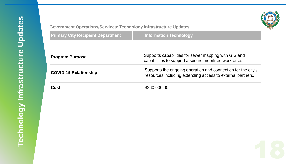

#### **Government Operations/Services: Technology Infrastructure Updates**

| <b>Government Operations/Services: Technology Infrastructure Updates</b><br><b>Primary City Recipient Department</b> | <b>Information Technology</b>                                                                                              |
|----------------------------------------------------------------------------------------------------------------------|----------------------------------------------------------------------------------------------------------------------------|
|                                                                                                                      |                                                                                                                            |
| <b>Program Purpose</b>                                                                                               | Supports capabilities for sewer mapping with GIS and<br>capabilities to support a secure mobilized workforce.              |
| <b>COVID-19 Relationship</b>                                                                                         | Supports the ongoing operation and connection for the city's<br>resources including extending access to external partners. |
| <b>Cost</b>                                                                                                          | \$260,000.00                                                                                                               |
|                                                                                                                      |                                                                                                                            |
|                                                                                                                      |                                                                                                                            |
|                                                                                                                      |                                                                                                                            |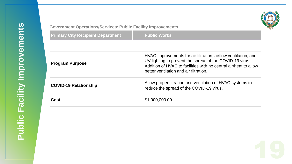

#### **Government Operations/Services: Public Facility Improvements**

rnmer<br>ary Ci<br>Tam P<br>D-19 **Primary City Recipient Department Fig. 7 Public Works Program Purpose** HVAC improvements for air filtration, airflow ventilation, and UV lighting to prevent the spread of the COVID-19 virus. Addition of HVAC to facilities with no central air/heat to allow better ventilation and air filtration. **COVID-19 Relationship** Allow proper filtration and ventilation of HVAC systems to reduce the spread of the COVID-19 virus. **Cost** \$1,000,000.00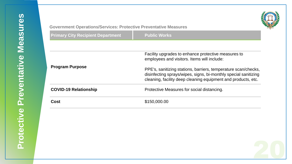

#### **Government Operations/Services: Protective Preventative Measures**

| <b>Sovernment Operations/Services: Protective Preventative Measures</b> |                                                                                                                                                                                                                                         |  |
|-------------------------------------------------------------------------|-----------------------------------------------------------------------------------------------------------------------------------------------------------------------------------------------------------------------------------------|--|
| <b>Primary City Recipient Department</b>                                | <b>Public Works</b>                                                                                                                                                                                                                     |  |
|                                                                         |                                                                                                                                                                                                                                         |  |
| <b>Program Purpose</b>                                                  | Facility upgrades to enhance protective measures to<br>employees and visitors. Items will include:<br>PPE's, sanitizing stations, barriers, temperature scan/checks,<br>disinfecting sprays/wipes, signs, bi-monthly special sanitizing |  |
| <b>COVID-19 Relationship</b>                                            | cleaning, facility deep cleaning equipment and products, etc.<br>Protective Measures for social distancing.                                                                                                                             |  |
| Cost                                                                    | \$150,000.00                                                                                                                                                                                                                            |  |
|                                                                         |                                                                                                                                                                                                                                         |  |

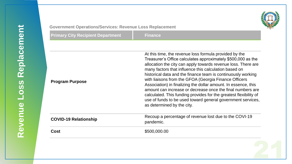

#### **Government Operations/Services: Revenue Loss Replacement**

| <b>Sovernment Operations/Services: Revenue Loss Replacement</b> |                                                                                                                                                                                                                                                                                                                                                                                                                                                                                                                                                                                                                                                                             |  |
|-----------------------------------------------------------------|-----------------------------------------------------------------------------------------------------------------------------------------------------------------------------------------------------------------------------------------------------------------------------------------------------------------------------------------------------------------------------------------------------------------------------------------------------------------------------------------------------------------------------------------------------------------------------------------------------------------------------------------------------------------------------|--|
| <b>Primary City Recipient Department</b>                        | <b>Finance</b>                                                                                                                                                                                                                                                                                                                                                                                                                                                                                                                                                                                                                                                              |  |
|                                                                 |                                                                                                                                                                                                                                                                                                                                                                                                                                                                                                                                                                                                                                                                             |  |
| <b>Program Purpose</b>                                          | At this time, the revenue loss formula provided by the<br>Treasurer's Office calculates approximately \$500,000 as the<br>allocation the city can apply towards revenue loss. There are<br>many factors that influence this calculation based on<br>historical data and the finance team is continuously working<br>with liaisons from the GFOA (Georgia Finance Officers<br>Association) in finalizing the dollar amount. In essence, this<br>amount can increase or decrease once the final numbers are<br>calculated. This funding provides for the greatest flexibility of<br>use of funds to be used toward general government services,<br>as determined by the city. |  |
| <b>COVID-19 Relationship</b>                                    | Recoup a percentage of revenue lost due to the COVI-19<br>pandemic.                                                                                                                                                                                                                                                                                                                                                                                                                                                                                                                                                                                                         |  |
| Cost                                                            | \$500,000.00                                                                                                                                                                                                                                                                                                                                                                                                                                                                                                                                                                                                                                                                |  |
|                                                                 |                                                                                                                                                                                                                                                                                                                                                                                                                                                                                                                                                                                                                                                                             |  |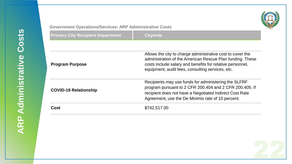#### **Government Operations/Services: ARP Administrative Costs**

| <b>Primary City Recipient Department</b> | <b>Citywide</b>                                                                                                                                                                                                                          |
|------------------------------------------|------------------------------------------------------------------------------------------------------------------------------------------------------------------------------------------------------------------------------------------|
|                                          |                                                                                                                                                                                                                                          |
| <b>Program Purpose</b>                   | Allows the city to charge administrative cost to cover the<br>administration of the American Rescue Plan funding. These<br>costs include salary and benefits for relative personnel,<br>equipment, audit fees, consulting services, etc. |
| <b>COVID-19 Relationship</b>             | Recipients may use funds for administering the SLFRF<br>program pursuant to 2 CFR 200.404 and 2 CFR 200.405. If<br>recipient does not have a Negotiated Indirect Cost Rate<br>Agreement, use the De Minimis rate of 10 percent.          |
| <b>Cost</b>                              | \$742,517.00                                                                                                                                                                                                                             |